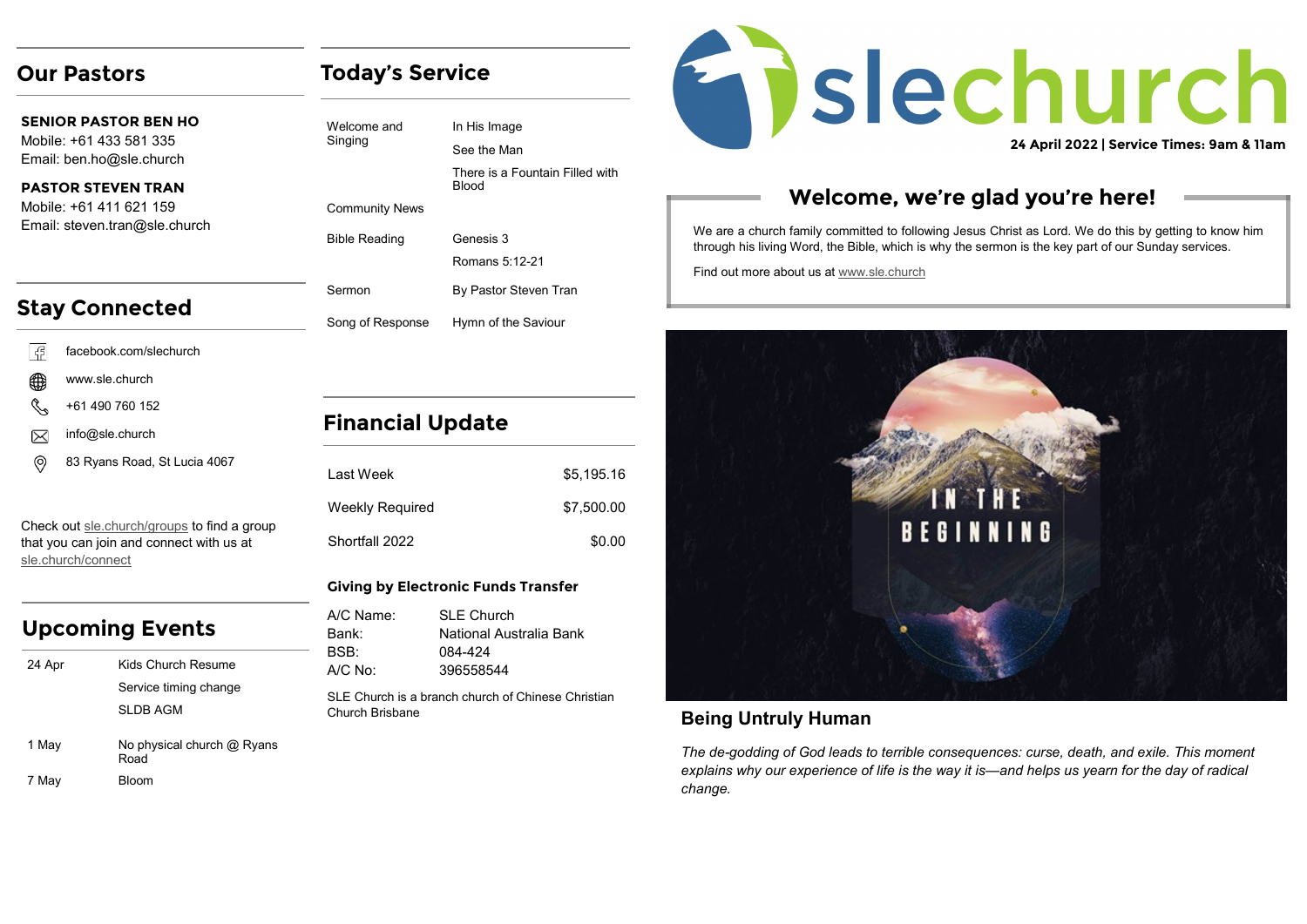### **Our Pastors**

**SENIOR PASTOR BEN HO** Mobile: +61 433 581 335 Email: ben.ho@sle.church

### **PASTOR STEVEN TRAN**  Mobile: +61 411 621 159 Email: steven.tran@sle.church

# **Stay Connected**

- l G facebook.com/slechurch
- ∰ www.sle.church
- +61 490 760 152
- info@sle.church  $\boxtimes$
- (ම 83 Ryans Road, St Lucia 4067

Check out [sle.church/groups](https://sle.church/groups) to find a group that you can join and connect with us at [sle.church/connect](https://sle.church/connect)

# **Upcoming Events**

| 24 Apr | Kids Church Resume                   |
|--------|--------------------------------------|
|        | Service timing change                |
|        | SI DB AGM                            |
| 1 May  | No physical church $@$ Ryans<br>Road |
| 7 May  | Bloom                                |

# **Today's Service**

| Welcome and<br>Singing | In His Image                                    |
|------------------------|-------------------------------------------------|
|                        | See the Man                                     |
|                        | There is a Fountain Filled with<br><b>Blood</b> |
| <b>Community News</b>  |                                                 |
| <b>Bible Reading</b>   | Genesis 3                                       |
|                        | Romans 5:12-21                                  |
| Sermon                 | By Pastor Steven Tran                           |
| Song of Response       | Hymn of the Saviour                             |

# **Financial Update**

| I ast Week             | \$5.195.16 |
|------------------------|------------|
| <b>Weekly Required</b> | \$7,500.00 |
| Shortfall 2022         | \$0.00     |

### **Giving by Electronic Funds Transfer**

| A/C Name:                                                             | <b>SLE Church</b>       |
|-----------------------------------------------------------------------|-------------------------|
| Bank:                                                                 | National Australia Bank |
| <b>BSB</b>                                                            | 084-424                 |
| $A/C$ No:                                                             | 396558544               |
| SLE Church is a branch church of Chinese Christian<br>Church Brisbane |                         |

# Enslechurch

**24 April 2022 | Service Times: 9am & 11am**

# **Welcome, we're glad you're here!**

We are a church family committed to following Jesus Christ as Lord. We do this by getting to know him through his living Word, the Bible, which is why the sermon is the key part of our Sunday services.

Find out more about us at [www.sle.church](https://sle.church/)



### **Being Untruly Human**

*The de-godding of God leads to terrible consequences: curse, death, and exile. This moment explains why our experience of life is the way it is—and helps us yearn for the day of radical change.*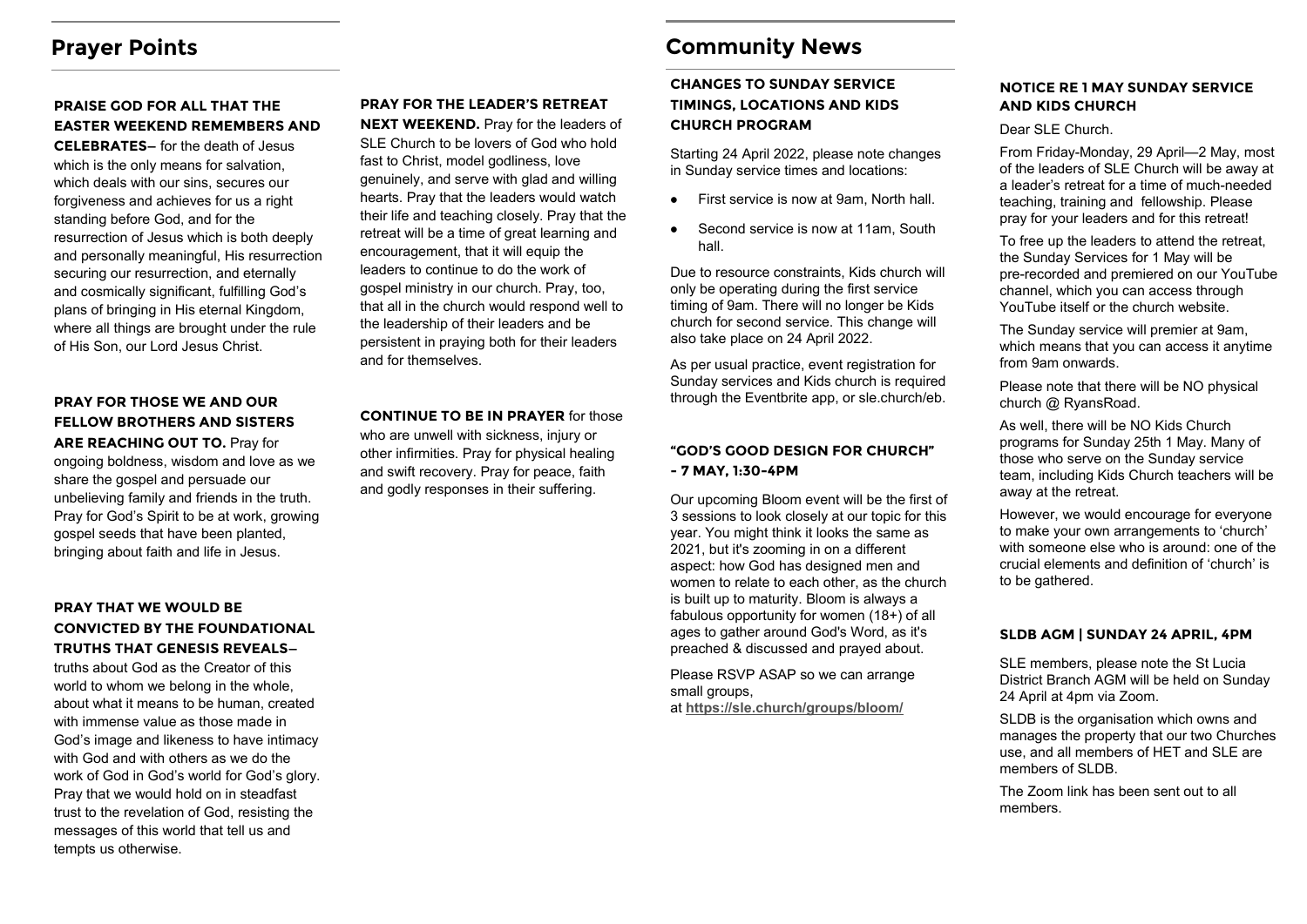## **Prayer Points**

### **PRAISE GOD FOR ALL THAT THE EASTER WEEKEND REMEMBERS AND**

**CELEBRATES—** for the death of Jesus which is the only means for salvation. which deals with our sins, secures our forgiveness and achieves for us a right standing before God, and for the resurrection of Jesus which is both deeply and personally meaningful, His resurrection securing our resurrection, and eternally and cosmically significant, fulfilling God's plans of bringing in His eternal Kingdom, where all things are brought under the rule of His Son, our Lord Jesus Christ.

### **PRAY FOR THOSE WE AND OUR FELLOW BROTHERS AND SISTERS**

**ARE REACHING OUT TO.** Pray for ongoing boldness, wisdom and love as we share the gospel and persuade our unbelieving family and friends in the truth. Pray for God's Spirit to be at work, growing gospel seeds that have been planted, bringing about faith and life in Jesus.

### **PRAY THAT WE WOULD BE CONVICTED BY THE FOUNDATIONAL TRUTHS THAT GENESIS REVEALS—**

truths about God as the Creator of this world to whom we belong in the whole, about what it means to be human, created with immense value as those made in God's image and likeness to have intimacy with God and with others as we do the work of God in God's world for God's glory. Pray that we would hold on in steadfast trust to the revelation of God, resisting the messages of this world that tell us and tempts us otherwise.

# **PRAY FOR THE LEADER'S RETREAT**

**NEXT WEEKEND.** Pray for the leaders of SLE Church to be lovers of God who hold fast to Christ, model godliness, love genuinely, and serve with glad and willing hearts. Pray that the leaders would watch their life and teaching closely. Pray that the retreat will be a time of great learning and encouragement, that it will equip the leaders to continue to do the work of gospel ministry in our church. Pray, too, that all in the church would respond well to the leadership of their leaders and be persistent in praying both for their leaders and for themselves.

### **CONTINUE TO BE IN PRAYER** for those

who are unwell with sickness, injury or other infirmities. Pray for physical healing and swift recovery. Pray for peace, faith and godly responses in their suffering.

## **Community News**

### **CHANGES TO SUNDAY SERVICE TIMINGS, LOCATIONS AND KIDS CHURCH PROGRAM**

Starting 24 April 2022, please note changes in Sunday service times and locations:

- First service is now at 9am, North hall.  $\bullet$
- Second service is now at 11am, South  $\bullet$ hall.

Due to resource constraints, Kids church will only be operating during the first service timing of 9am. There will no longer be Kids church for second service. This change will also take place on 24 April 2022.

As per usual practice, event registration for Sunday services and Kids church is required through the Eventbrite app, or sle.church/eb.

### **"GOD'S GOOD DESIGN FOR CHURCH" - 7 MAY, 1:30-4PM**

Our upcoming Bloom event will be the first of 3 sessions to look closely at our topic for this year. You might think it looks the same as 2021, but it's zooming in on a different aspect: how God has designed men and women to relate to each other, as the church is built up to maturity. Bloom is always a fabulous opportunity for women (18+) of all ages to gather around God's Word, as it's preached & discussed and prayed about.

Please RSVP ASAP so we can arrange small groups, at **<https://sle.church/groups/bloom/>**

### **NOTICE RE 1 MAY SUNDAY SERVICE AND KIDS CHURCH**

### Dear SLE Church.

From Friday-Monday, 29 April—2 May, most of the leaders of SLE Church will be away at a leader's retreat for a time of much-needed teaching, training and fellowship. Please pray for your leaders and for this retreat!

To free up the leaders to attend the retreat, the Sunday Services for 1 May will be pre-recorded and premiered on our YouTube channel, which you can access through YouTube itself or the church website.

The Sunday service will premier at 9am, which means that you can access it anytime from 9am onwards.

Please note that there will be NO physical church @ RyansRoad.

As well, there will be NO Kids Church programs for Sunday 25th 1 May. Many of those who serve on the Sunday service team, including Kids Church teachers will be away at the retreat.

However, we would encourage for everyone to make your own arrangements to 'church' with someone else who is around: one of the crucial elements and definition of 'church' is to be gathered.

### **SLDB AGM | SUNDAY 24 APRIL, 4PM**

SLE members, please note the St Lucia District Branch AGM will be held on Sunday 24 April at 4pm via Zoom.

SLDB is the organisation which owns and manages the property that our two Churches use, and all members of HET and SLE are members of SLDB.

The Zoom link has been sent out to all members.